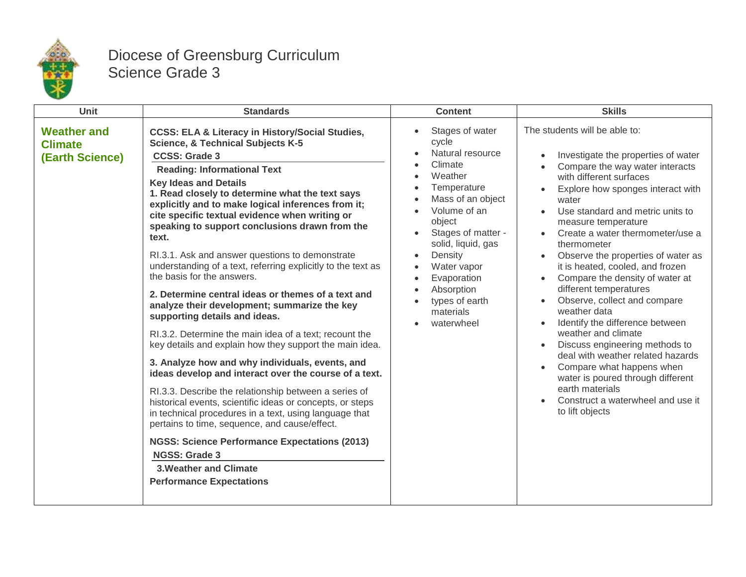

## Diocese of Greensburg Curriculum Science Grade 3

| <b>Unit</b>                                             | <b>Standards</b>                                                                                                                                                                                                                                                                                                                                                                                                                                                                                                                                                                                                                                                                                                                                                                                                                                                                                                                                                                                                                                                                                                                                                                                                                                                                                                                             | <b>Content</b>                                                                                                                                                                                                                                                                                | <b>Skills</b>                                                                                                                                                                                                                                                                                                                                                                                                                                                                                                                                                                                                                                                                                                                                                       |
|---------------------------------------------------------|----------------------------------------------------------------------------------------------------------------------------------------------------------------------------------------------------------------------------------------------------------------------------------------------------------------------------------------------------------------------------------------------------------------------------------------------------------------------------------------------------------------------------------------------------------------------------------------------------------------------------------------------------------------------------------------------------------------------------------------------------------------------------------------------------------------------------------------------------------------------------------------------------------------------------------------------------------------------------------------------------------------------------------------------------------------------------------------------------------------------------------------------------------------------------------------------------------------------------------------------------------------------------------------------------------------------------------------------|-----------------------------------------------------------------------------------------------------------------------------------------------------------------------------------------------------------------------------------------------------------------------------------------------|---------------------------------------------------------------------------------------------------------------------------------------------------------------------------------------------------------------------------------------------------------------------------------------------------------------------------------------------------------------------------------------------------------------------------------------------------------------------------------------------------------------------------------------------------------------------------------------------------------------------------------------------------------------------------------------------------------------------------------------------------------------------|
| <b>Weather and</b><br><b>Climate</b><br>(Earth Science) | <b>CCSS: ELA &amp; Literacy in History/Social Studies,</b><br><b>Science, &amp; Technical Subjects K-5</b><br><b>CCSS: Grade 3</b><br><b>Reading: Informational Text</b><br><b>Key Ideas and Details</b><br>1. Read closely to determine what the text says<br>explicitly and to make logical inferences from it;<br>cite specific textual evidence when writing or<br>speaking to support conclusions drawn from the<br>text.<br>RI.3.1. Ask and answer questions to demonstrate<br>understanding of a text, referring explicitly to the text as<br>the basis for the answers.<br>2. Determine central ideas or themes of a text and<br>analyze their development; summarize the key<br>supporting details and ideas.<br>RI.3.2. Determine the main idea of a text; recount the<br>key details and explain how they support the main idea.<br>3. Analyze how and why individuals, events, and<br>ideas develop and interact over the course of a text.<br>RI.3.3. Describe the relationship between a series of<br>historical events, scientific ideas or concepts, or steps<br>in technical procedures in a text, using language that<br>pertains to time, sequence, and cause/effect.<br><b>NGSS: Science Performance Expectations (2013)</b><br><b>NGSS: Grade 3</b><br><b>3. Weather and Climate</b><br><b>Performance Expectations</b> | Stages of water<br>cycle<br>Natural resource<br>Climate<br>Weather<br>Temperature<br>Mass of an object<br>Volume of an<br>object<br>Stages of matter -<br>$\bullet$<br>solid, liquid, gas<br>Density<br>Water vapor<br>Evaporation<br>Absorption<br>types of earth<br>materials<br>waterwheel | The students will be able to:<br>Investigate the properties of water<br>Compare the way water interacts<br>with different surfaces<br>Explore how sponges interact with<br>water<br>Use standard and metric units to<br>measure temperature<br>Create a water thermometer/use a<br>thermometer<br>Observe the properties of water as<br>it is heated, cooled, and frozen<br>Compare the density of water at<br>different temperatures<br>Observe, collect and compare<br>weather data<br>Identify the difference between<br>weather and climate<br>Discuss engineering methods to<br>deal with weather related hazards<br>Compare what happens when<br>water is poured through different<br>earth materials<br>Construct a waterwheel and use it<br>to lift objects |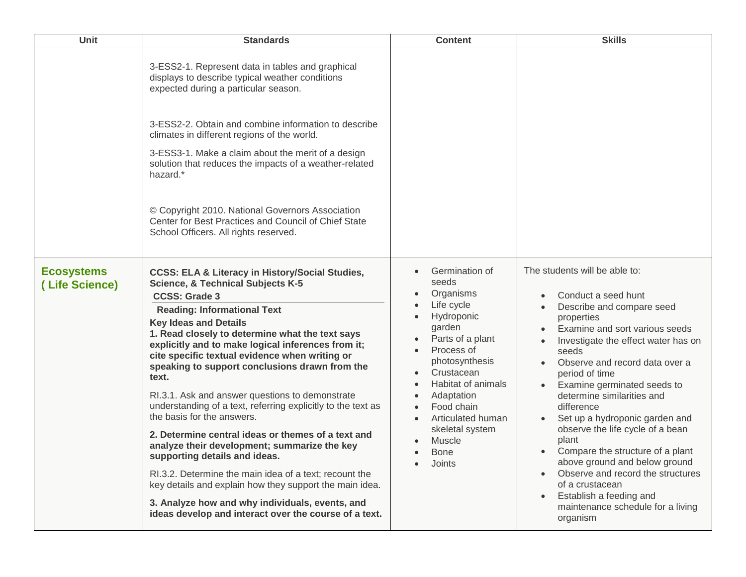| <b>Unit</b>                         | <b>Standards</b>                                                                                                                                                                                                                                                                                                                                                                                                                                                                                                                                                                                                                                                                                                                                                                                                                                                                                                                                        | <b>Content</b>                                                                                                                                                                                                                                                            | <b>Skills</b>                                                                                                                                                                                                                                                                                                                                                                                                                                                                                                                                                                                            |
|-------------------------------------|---------------------------------------------------------------------------------------------------------------------------------------------------------------------------------------------------------------------------------------------------------------------------------------------------------------------------------------------------------------------------------------------------------------------------------------------------------------------------------------------------------------------------------------------------------------------------------------------------------------------------------------------------------------------------------------------------------------------------------------------------------------------------------------------------------------------------------------------------------------------------------------------------------------------------------------------------------|---------------------------------------------------------------------------------------------------------------------------------------------------------------------------------------------------------------------------------------------------------------------------|----------------------------------------------------------------------------------------------------------------------------------------------------------------------------------------------------------------------------------------------------------------------------------------------------------------------------------------------------------------------------------------------------------------------------------------------------------------------------------------------------------------------------------------------------------------------------------------------------------|
|                                     | 3-ESS2-1. Represent data in tables and graphical<br>displays to describe typical weather conditions<br>expected during a particular season.                                                                                                                                                                                                                                                                                                                                                                                                                                                                                                                                                                                                                                                                                                                                                                                                             |                                                                                                                                                                                                                                                                           |                                                                                                                                                                                                                                                                                                                                                                                                                                                                                                                                                                                                          |
|                                     | 3-ESS2-2. Obtain and combine information to describe<br>climates in different regions of the world.<br>3-ESS3-1. Make a claim about the merit of a design<br>solution that reduces the impacts of a weather-related<br>hazard.*                                                                                                                                                                                                                                                                                                                                                                                                                                                                                                                                                                                                                                                                                                                         |                                                                                                                                                                                                                                                                           |                                                                                                                                                                                                                                                                                                                                                                                                                                                                                                                                                                                                          |
|                                     | © Copyright 2010. National Governors Association<br>Center for Best Practices and Council of Chief State<br>School Officers. All rights reserved.                                                                                                                                                                                                                                                                                                                                                                                                                                                                                                                                                                                                                                                                                                                                                                                                       |                                                                                                                                                                                                                                                                           |                                                                                                                                                                                                                                                                                                                                                                                                                                                                                                                                                                                                          |
| <b>Ecosystems</b><br>(Life Science) | <b>CCSS: ELA &amp; Literacy in History/Social Studies,</b><br><b>Science, &amp; Technical Subjects K-5</b><br><b>CCSS: Grade 3</b><br><b>Reading: Informational Text</b><br><b>Key Ideas and Details</b><br>1. Read closely to determine what the text says<br>explicitly and to make logical inferences from it;<br>cite specific textual evidence when writing or<br>speaking to support conclusions drawn from the<br>text.<br>RI.3.1. Ask and answer questions to demonstrate<br>understanding of a text, referring explicitly to the text as<br>the basis for the answers.<br>2. Determine central ideas or themes of a text and<br>analyze their development; summarize the key<br>supporting details and ideas.<br>RI.3.2. Determine the main idea of a text; recount the<br>key details and explain how they support the main idea.<br>3. Analyze how and why individuals, events, and<br>ideas develop and interact over the course of a text. | Germination of<br>seeds<br>Organisms<br>Life cycle<br>Hydroponic<br>garden<br>Parts of a plant<br>Process of<br>photosynthesis<br>Crustacean<br>Habitat of animals<br>Adaptation<br>Food chain<br>Articulated human<br>skeletal system<br>Muscle<br><b>Bone</b><br>Joints | The students will be able to:<br>Conduct a seed hunt<br>Describe and compare seed<br>properties<br>Examine and sort various seeds<br>Investigate the effect water has on<br>seeds<br>Observe and record data over a<br>period of time<br>Examine germinated seeds to<br>determine similarities and<br>difference<br>Set up a hydroponic garden and<br>observe the life cycle of a bean<br>plant<br>Compare the structure of a plant<br>above ground and below ground<br>Observe and record the structures<br>of a crustacean<br>Establish a feeding and<br>maintenance schedule for a living<br>organism |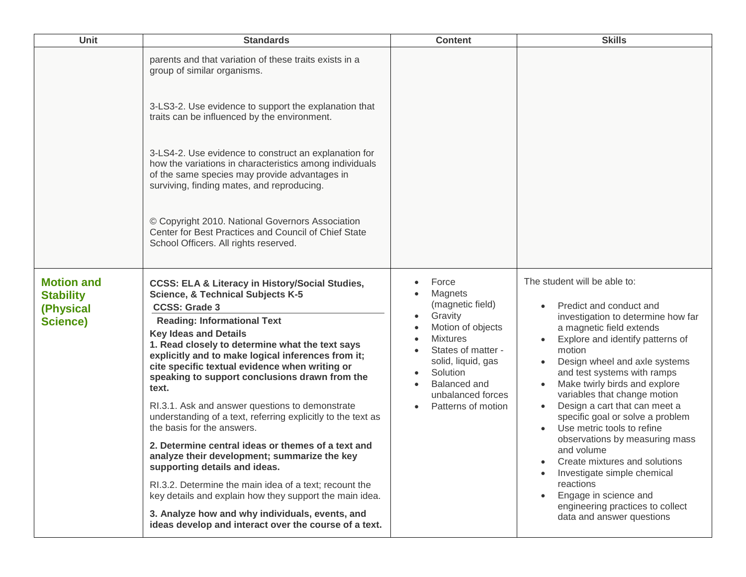| Unit                                                                  | <b>Standards</b>                                                                                                                                                                                                                                                                                                                                                                                                                                                                                                                                                                                                                                                                                                                                                                                                                                                                                                                                        | <b>Content</b>                                                                                                                                                                                                    | <b>Skills</b>                                                                                                                                                                                                                                                                                                                                                                                                                                                                                                                                                                                                                      |
|-----------------------------------------------------------------------|---------------------------------------------------------------------------------------------------------------------------------------------------------------------------------------------------------------------------------------------------------------------------------------------------------------------------------------------------------------------------------------------------------------------------------------------------------------------------------------------------------------------------------------------------------------------------------------------------------------------------------------------------------------------------------------------------------------------------------------------------------------------------------------------------------------------------------------------------------------------------------------------------------------------------------------------------------|-------------------------------------------------------------------------------------------------------------------------------------------------------------------------------------------------------------------|------------------------------------------------------------------------------------------------------------------------------------------------------------------------------------------------------------------------------------------------------------------------------------------------------------------------------------------------------------------------------------------------------------------------------------------------------------------------------------------------------------------------------------------------------------------------------------------------------------------------------------|
|                                                                       | parents and that variation of these traits exists in a<br>group of similar organisms.                                                                                                                                                                                                                                                                                                                                                                                                                                                                                                                                                                                                                                                                                                                                                                                                                                                                   |                                                                                                                                                                                                                   |                                                                                                                                                                                                                                                                                                                                                                                                                                                                                                                                                                                                                                    |
|                                                                       | 3-LS3-2. Use evidence to support the explanation that<br>traits can be influenced by the environment.                                                                                                                                                                                                                                                                                                                                                                                                                                                                                                                                                                                                                                                                                                                                                                                                                                                   |                                                                                                                                                                                                                   |                                                                                                                                                                                                                                                                                                                                                                                                                                                                                                                                                                                                                                    |
|                                                                       | 3-LS4-2. Use evidence to construct an explanation for<br>how the variations in characteristics among individuals<br>of the same species may provide advantages in<br>surviving, finding mates, and reproducing.                                                                                                                                                                                                                                                                                                                                                                                                                                                                                                                                                                                                                                                                                                                                         |                                                                                                                                                                                                                   |                                                                                                                                                                                                                                                                                                                                                                                                                                                                                                                                                                                                                                    |
|                                                                       | © Copyright 2010. National Governors Association<br>Center for Best Practices and Council of Chief State<br>School Officers. All rights reserved.                                                                                                                                                                                                                                                                                                                                                                                                                                                                                                                                                                                                                                                                                                                                                                                                       |                                                                                                                                                                                                                   |                                                                                                                                                                                                                                                                                                                                                                                                                                                                                                                                                                                                                                    |
| <b>Motion and</b><br><b>Stability</b><br>(Physical<br><b>Science)</b> | <b>CCSS: ELA &amp; Literacy in History/Social Studies,</b><br><b>Science, &amp; Technical Subjects K-5</b><br><b>CCSS: Grade 3</b><br><b>Reading: Informational Text</b><br><b>Key Ideas and Details</b><br>1. Read closely to determine what the text says<br>explicitly and to make logical inferences from it;<br>cite specific textual evidence when writing or<br>speaking to support conclusions drawn from the<br>text.<br>RI.3.1. Ask and answer questions to demonstrate<br>understanding of a text, referring explicitly to the text as<br>the basis for the answers.<br>2. Determine central ideas or themes of a text and<br>analyze their development; summarize the key<br>supporting details and ideas.<br>RI.3.2. Determine the main idea of a text; recount the<br>key details and explain how they support the main idea.<br>3. Analyze how and why individuals, events, and<br>ideas develop and interact over the course of a text. | Force<br>Magnets<br>(magnetic field)<br>Gravity<br>Motion of objects<br><b>Mixtures</b><br>States of matter -<br>solid, liquid, gas<br>Solution<br><b>Balanced</b> and<br>unbalanced forces<br>Patterns of motion | The student will be able to:<br>Predict and conduct and<br>investigation to determine how far<br>a magnetic field extends<br>Explore and identify patterns of<br>motion<br>Design wheel and axle systems<br>and test systems with ramps<br>Make twirly birds and explore<br>variables that change motion<br>Design a cart that can meet a<br>specific goal or solve a problem<br>Use metric tools to refine<br>observations by measuring mass<br>and volume<br>Create mixtures and solutions<br>Investigate simple chemical<br>reactions<br>Engage in science and<br>engineering practices to collect<br>data and answer questions |